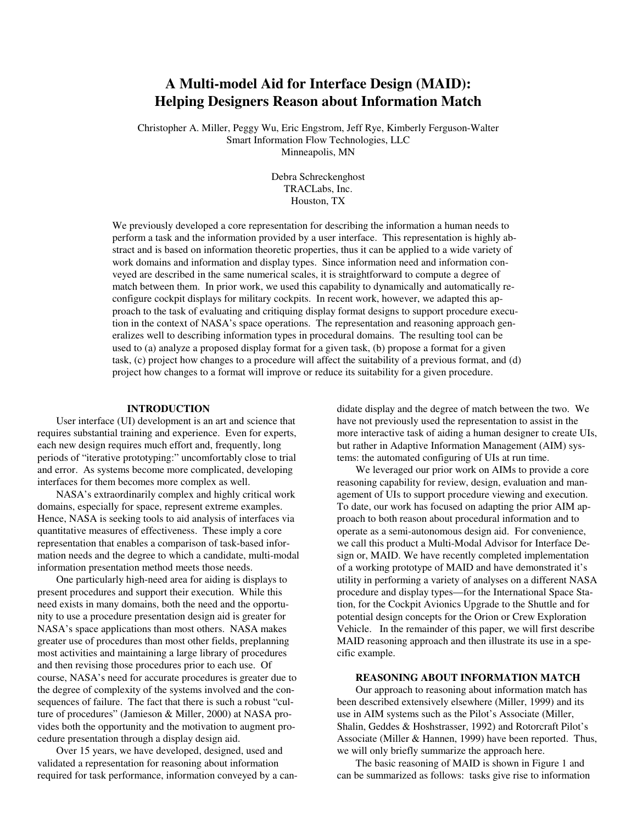# **A Multi-model Aid for Interface Design (MAID): Helping Designers Reason about Information Match**

Christopher A. Miller, Peggy Wu, Eric Engstrom, Jeff Rye, Kimberly Ferguson-Walter Smart Information Flow Technologies, LLC Minneapolis, MN

> Debra Schreckenghost TRACLabs, Inc. Houston, TX

We previously developed a core representation for describing the information a human needs to perform a task and the information provided by a user interface. This representation is highly abstract and is based on information theoretic properties, thus it can be applied to a wide variety of work domains and information and display types. Since information need and information conveyed are described in the same numerical scales, it is straightforward to compute a degree of match between them. In prior work, we used this capability to dynamically and automatically reconfigure cockpit displays for military cockpits. In recent work, however, we adapted this approach to the task of evaluating and critiquing display format designs to support procedure execution in the context of NASA's space operations. The representation and reasoning approach generalizes well to describing information types in procedural domains. The resulting tool can be used to (a) analyze a proposed display format for a given task, (b) propose a format for a given task, (c) project how changes to a procedure will affect the suitability of a previous format, and (d) project how changes to a format will improve or reduce its suitability for a given procedure.

#### **INTRODUCTION**

User interface (UI) development is an art and science that requires substantial training and experience. Even for experts, each new design requires much effort and, frequently, long periods of "iterative prototyping:" uncomfortably close to trial and error. As systems become more complicated, developing interfaces for them becomes more complex as well.

NASA's extraordinarily complex and highly critical work domains, especially for space, represent extreme examples. Hence, NASA is seeking tools to aid analysis of interfaces via quantitative measures of effectiveness. These imply a core representation that enables a comparison of task-based information needs and the degree to which a candidate, multi-modal information presentation method meets those needs.

One particularly high-need area for aiding is displays to present procedures and support their execution. While this need exists in many domains, both the need and the opportunity to use a procedure presentation design aid is greater for NASA's space applications than most others. NASA makes greater use of procedures than most other fields, preplanning most activities and maintaining a large library of procedures and then revising those procedures prior to each use. Of course, NASA's need for accurate procedures is greater due to the degree of complexity of the systems involved and the consequences of failure. The fact that there is such a robust "culture of procedures" (Jamieson & Miller, 2000) at NASA provides both the opportunity and the motivation to augment procedure presentation through a display design aid.

Over 15 years, we have developed, designed, used and validated a representation for reasoning about information required for task performance, information conveyed by a can-

didate display and the degree of match between the two. We have not previously used the representation to assist in the more interactive task of aiding a human designer to create UIs, but rather in Adaptive Information Management (AIM) systems: the automated configuring of UIs at run time.

We leveraged our prior work on AIMs to provide a core reasoning capability for review, design, evaluation and management of UIs to support procedure viewing and execution. To date, our work has focused on adapting the prior AIM approach to both reason about procedural information and to operate as a semi-autonomous design aid. For convenience, we call this product a Multi-Modal Advisor for Interface Design or, MAID. We have recently completed implementation of a working prototype of MAID and have demonstrated it's utility in performing a variety of analyses on a different NASA procedure and display types—for the International Space Station, for the Cockpit Avionics Upgrade to the Shuttle and for potential design concepts for the Orion or Crew Exploration Vehicle. In the remainder of this paper, we will first describe MAID reasoning approach and then illustrate its use in a specific example.

#### **REASONING ABOUT INFORMATION MATCH**

Our approach to reasoning about information match has been described extensively elsewhere (Miller, 1999) and its use in AIM systems such as the Pilot's Associate (Miller, Shalin, Geddes & Hoshstrasser, 1992) and Rotorcraft Pilot's Associate (Miller & Hannen, 1999) have been reported. Thus, we will only briefly summarize the approach here.

The basic reasoning of MAID is shown in Figure 1 and can be summarized as follows: tasks give rise to information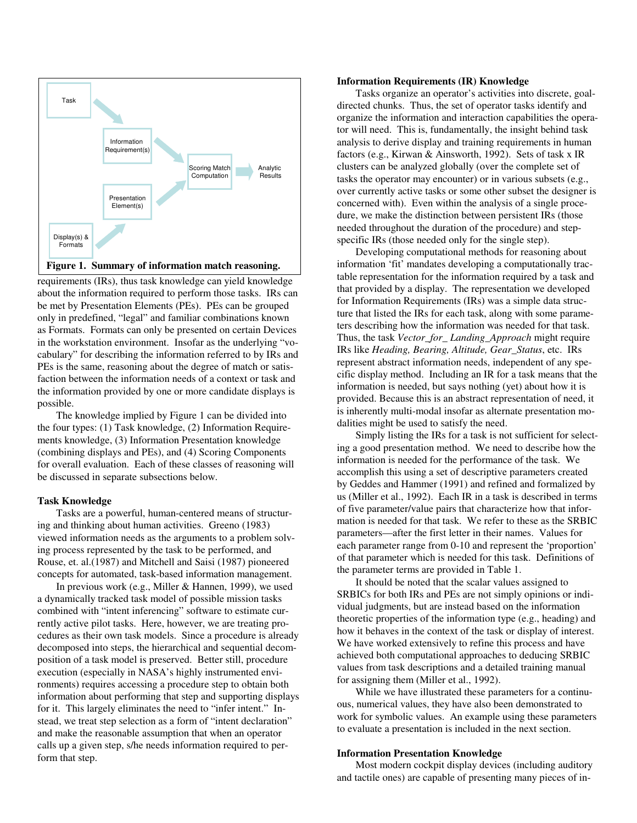

requirements (IRs), thus task knowledge can yield knowledge about the information required to perform those tasks. IRs can be met by Presentation Elements (PEs). PEs can be grouped only in predefined, "legal" and familiar combinations known as Formats. Formats can only be presented on certain Devices in the workstation environment. Insofar as the underlying "vocabulary" for describing the information referred to by IRs and PEs is the same, reasoning about the degree of match or satisfaction between the information needs of a context or task and the information provided by one or more candidate displays is possible.

The knowledge implied by Figure 1 can be divided into the four types: (1) Task knowledge, (2) Information Requirements knowledge, (3) Information Presentation knowledge (combining displays and PEs), and (4) Scoring Components for overall evaluation. Each of these classes of reasoning will be discussed in separate subsections below.

### **Task Knowledge**

Tasks are a powerful, human-centered means of structuring and thinking about human activities. Greeno (1983) viewed information needs as the arguments to a problem solving process represented by the task to be performed, and Rouse, et. al.(1987) and Mitchell and Saisi (1987) pioneered concepts for automated, task-based information management.

In previous work (e.g., Miller & Hannen, 1999), we used a dynamically tracked task model of possible mission tasks combined with "intent inferencing" software to estimate currently active pilot tasks. Here, however, we are treating procedures as their own task models. Since a procedure is already decomposed into steps, the hierarchical and sequential decomposition of a task model is preserved. Better still, procedure execution (especially in NASA's highly instrumented environments) requires accessing a procedure step to obtain both information about performing that step and supporting displays for it. This largely eliminates the need to "infer intent." Instead, we treat step selection as a form of "intent declaration" and make the reasonable assumption that when an operator calls up a given step, s/he needs information required to perform that step.

#### **Information Requirements (IR) Knowledge**

Tasks organize an operator's activities into discrete, goaldirected chunks. Thus, the set of operator tasks identify and organize the information and interaction capabilities the operator will need. This is, fundamentally, the insight behind task analysis to derive display and training requirements in human factors (e.g., Kirwan & Ainsworth, 1992). Sets of task x IR clusters can be analyzed globally (over the complete set of tasks the operator may encounter) or in various subsets (e.g., over currently active tasks or some other subset the designer is concerned with). Even within the analysis of a single procedure, we make the distinction between persistent IRs (those needed throughout the duration of the procedure) and stepspecific IRs (those needed only for the single step).

Developing computational methods for reasoning about information 'fit' mandates developing a computationally tractable representation for the information required by a task and that provided by a display. The representation we developed for Information Requirements (IRs) was a simple data structure that listed the IRs for each task, along with some parameters describing how the information was needed for that task. Thus, the task *Vector\_for\_ Landing\_Approach* might require IRs like *Heading, Bearing, Altitude, Gear\_Status*, etc. IRs represent abstract information needs, independent of any specific display method. Including an IR for a task means that the information is needed, but says nothing (yet) about how it is provided. Because this is an abstract representation of need, it is inherently multi-modal insofar as alternate presentation modalities might be used to satisfy the need.

Simply listing the IRs for a task is not sufficient for selecting a good presentation method. We need to describe how the information is needed for the performance of the task. We accomplish this using a set of descriptive parameters created by Geddes and Hammer (1991) and refined and formalized by us (Miller et al., 1992). Each IR in a task is described in terms of five parameter/value pairs that characterize how that information is needed for that task. We refer to these as the SRBIC parameters—after the first letter in their names. Values for each parameter range from 0-10 and represent the 'proportion' of that parameter which is needed for this task. Definitions of the parameter terms are provided in Table 1.

It should be noted that the scalar values assigned to SRBICs for both IRs and PEs are not simply opinions or individual judgments, but are instead based on the information theoretic properties of the information type (e.g., heading) and how it behaves in the context of the task or display of interest. We have worked extensively to refine this process and have achieved both computational approaches to deducing SRBIC values from task descriptions and a detailed training manual for assigning them (Miller et al., 1992).

While we have illustrated these parameters for a continuous, numerical values, they have also been demonstrated to work for symbolic values. An example using these parameters to evaluate a presentation is included in the next section.

#### **Information Presentation Knowledge**

Most modern cockpit display devices (including auditory and tactile ones) are capable of presenting many pieces of in-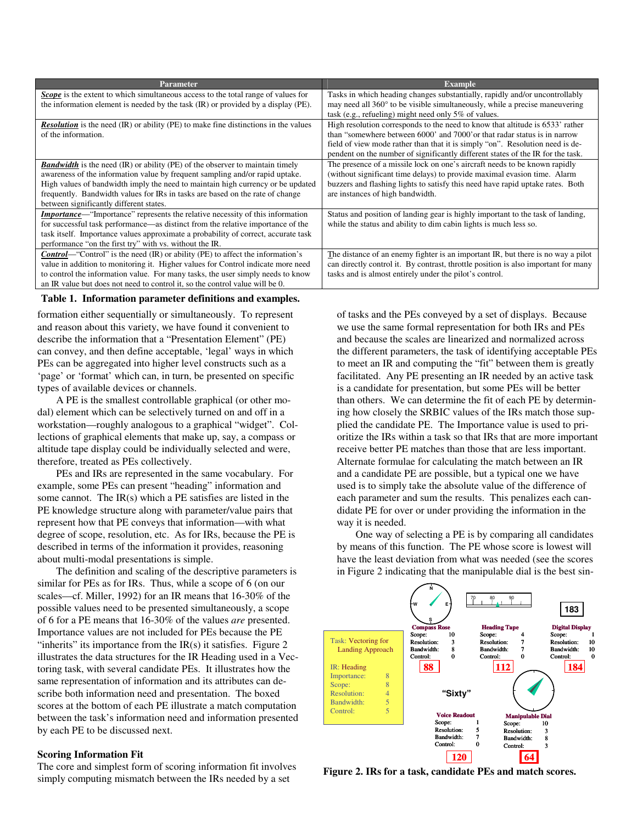| <b>Parameter</b>                                                                           | <b>Example</b>                                                                     |
|--------------------------------------------------------------------------------------------|------------------------------------------------------------------------------------|
| <b>Scope</b> is the extent to which simultaneous access to the total range of values for   | Tasks in which heading changes substantially, rapidly and/or uncontrollably        |
| the information element is needed by the task (IR) or provided by a display (PE).          | may need all 360° to be visible simultaneously, while a precise maneuvering        |
|                                                                                            | task (e.g., refueling) might need only 5% of values.                               |
| <b>Resolution</b> is the need (IR) or ability (PE) to make fine distinctions in the values | High resolution corresponds to the need to know that altitude is 6533' rather      |
| of the information.                                                                        | than "somewhere between 6000" and 7000" or that radar status is in narrow          |
|                                                                                            | field of view mode rather than that it is simply "on". Resolution need is de-      |
|                                                                                            | pendent on the number of significantly different states of the IR for the task.    |
| <b>Bandwidth</b> is the need (IR) or ability (PE) of the observer to maintain timely       | The presence of a missile lock on one's aircraft needs to be known rapidly         |
| awareness of the information value by frequent sampling and/or rapid uptake.               | (without significant time delays) to provide maximal evasion time. Alarm           |
| High values of bandwidth imply the need to maintain high currency or be updated            | buzzers and flashing lights to satisfy this need have rapid uptake rates. Both     |
| frequently. Bandwidth values for IRs in tasks are based on the rate of change              | are instances of high bandwidth.                                                   |
| between significantly different states.                                                    |                                                                                    |
| <b>Importance</b> —"Importance" represents the relative necessity of this information      | Status and position of landing gear is highly important to the task of landing,    |
| for successful task performance—as distinct from the relative importance of the            | while the status and ability to dim cabin lights is much less so.                  |
| task itself. Importance values approximate a probability of correct, accurate task         |                                                                                    |
| performance "on the first try" with vs. without the IR.                                    |                                                                                    |
| <b>Control—</b> "Control" is the need (IR) or ability (PE) to affect the information's     | The distance of an enemy fighter is an important IR, but there is no way a pilot   |
| value in addition to monitoring it. Higher values for Control indicate more need           | can directly control it. By contrast, throttle position is also important for many |
| to control the information value. For many tasks, the user simply needs to know            | tasks and is almost entirely under the pilot's control.                            |
| an IR value but does not need to control it, so the control value will be 0.               |                                                                                    |

#### **Table 1. Information parameter definitions and examples.**

formation either sequentially or simultaneously. To represent and reason about this variety, we have found it convenient to describe the information that a "Presentation Element" (PE) can convey, and then define acceptable, 'legal' ways in which PEs can be aggregated into higher level constructs such as a 'page' or 'format' which can, in turn, be presented on specific types of available devices or channels.

A PE is the smallest controllable graphical (or other modal) element which can be selectively turned on and off in a workstation—roughly analogous to a graphical "widget". Collections of graphical elements that make up, say, a compass or altitude tape display could be individually selected and were, therefore, treated as PEs collectively.

PEs and IRs are represented in the same vocabulary. For example, some PEs can present "heading" information and some cannot. The IR(s) which a PE satisfies are listed in the PE knowledge structure along with parameter/value pairs that represent how that PE conveys that information—with what degree of scope, resolution, etc. As for IRs, because the PE is described in terms of the information it provides, reasoning about multi-modal presentations is simple.

The definition and scaling of the descriptive parameters is similar for PEs as for IRs. Thus, while a scope of 6 (on our scales—cf. Miller, 1992) for an IR means that 16-30% of the possible values need to be presented simultaneously, a scope of 6 for a PE means that 16-30% of the values *are* presented. Importance values are not included for PEs because the PE "inherits" its importance from the  $IR(s)$  it satisfies. Figure 2 illustrates the data structures for the IR Heading used in a Vectoring task, with several candidate PEs. It illustrates how the same representation of information and its attributes can describe both information need and presentation. The boxed scores at the bottom of each PE illustrate a match computation between the task's information need and information presented by each PE to be discussed next.

## **Scoring Information Fit**

The core and simplest form of scoring information fit involves simply computing mismatch between the IRs needed by a set

of tasks and the PEs conveyed by a set of displays. Because we use the same formal representation for both IRs and PEs and because the scales are linearized and normalized across the different parameters, the task of identifying acceptable PEs to meet an IR and computing the "fit" between them is greatly facilitated. Any PE presenting an IR needed by an active task is a candidate for presentation, but some PEs will be better than others. We can determine the fit of each PE by determining how closely the SRBIC values of the IRs match those supplied the candidate PE. The Importance value is used to prioritize the IRs within a task so that IRs that are more important receive better PE matches than those that are less important. Alternate formulae for calculating the match between an IR and a candidate PE are possible, but a typical one we have used is to simply take the absolute value of the difference of each parameter and sum the results. This penalizes each candidate PE for over or under providing the information in the way it is needed.

One way of selecting a PE is by comparing all candidates by means of this function. The PE whose score is lowest will have the least deviation from what was needed (see the scores in Figure 2 indicating that the manipulable dial is the best sin-



**Figure 2. IRs for a task, candidate PEs and match scores.**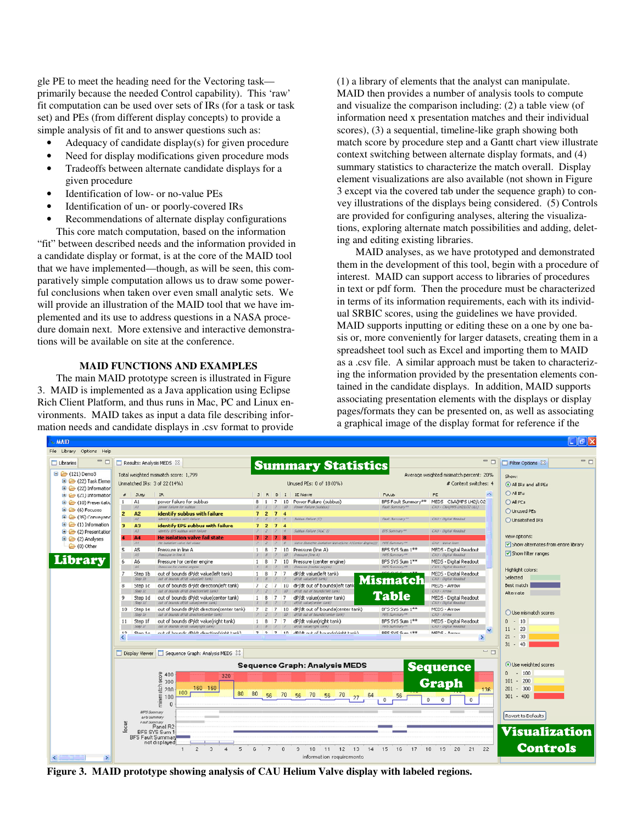gle PE to meet the heading need for the Vectoring task primarily because the needed Control capability). This 'raw' fit computation can be used over sets of IRs (for a task or task set) and PEs (from different display concepts) to provide a simple analysis of fit and to answer questions such as:

- Adequacy of candidate display(s) for given procedure
- Need for display modifications given procedure mods
- Tradeoffs between alternate candidate displays for a given procedure
- Identification of low- or no-value PEs
- Identification of un- or poorly-covered IRs
- Recommendations of alternate display configurations This core match computation, based on the information

"fit" between described needs and the information provided in a candidate display or format, is at the core of the MAID tool that we have implemented—though, as will be seen, this comparatively simple computation allows us to draw some powerful conclusions when taken over even small analytic sets. We will provide an illustration of the MAID tool that we have implemented and its use to address questions in a NASA procedure domain next. More extensive and interactive demonstrations will be available on site at the conference.

# **MAID FUNCTIONS AND EXAMPLES**

The main MAID prototype screen is illustrated in Figure 3. MAID is implemented as a Java application using Eclipse Rich Client Platform, and thus runs in Mac, PC and Linux environments. MAID takes as input a data file describing information needs and candidate displays in .csv format to provide

(1) a library of elements that the analyst can manipulate. MAID then provides a number of analysis tools to compute and visualize the comparison including: (2) a table view (of information need x presentation matches and their individual scores), (3) a sequential, timeline-like graph showing both match score by procedure step and a Gantt chart view illustrate context switching between alternate display formats, and (4) summary statistics to characterize the match overall. Display element visualizations are also available (not shown in Figure 3 except via the covered tab under the sequence graph) to convey illustrations of the displays being considered. (5) Controls are provided for configuring analyses, altering the visualizations, exploring alternate match possibilities and adding, deleting and editing existing libraries.

MAID analyses, as we have prototyped and demonstrated them in the development of this tool, begin with a procedure of interest. MAID can support access to libraries of procedures in text or pdf form. Then the procedure must be characterized in terms of its information requirements, each with its individual SRBIC scores, using the guidelines we have provided. MAID supports inputting or editing these on a one by one basis or, more conveniently for larger datasets, creating them in a spreadsheet tool such as Excel and importing them to MAID as a .csv file. A similar approach must be taken to characterizing the information provided by the presentation elements contained in the candidate displays. In addition, MAID supports associating presentation elements with the displays or display pages/formats they can be presented on, as well as associating a graphical image of the display format for reference if the



**Figure 3. MAID prototype showing analysis of CAU Helium Valve display with labeled regions.**